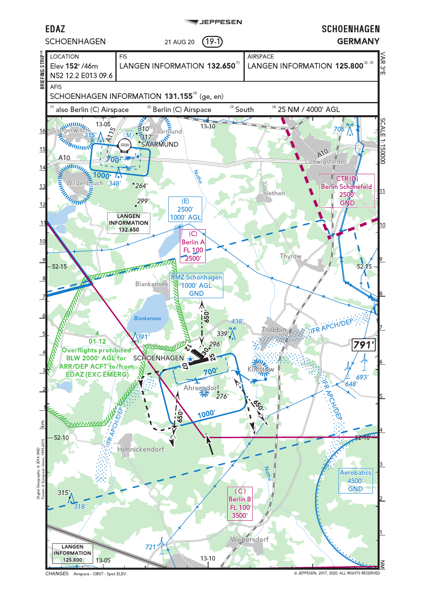

**S**JEPPESEN

**CHANGES: Airspace - OBST - Spot ELEV.**

**© JEPPESEN, 2017, 2020. ALL RIGHTS RESERVED**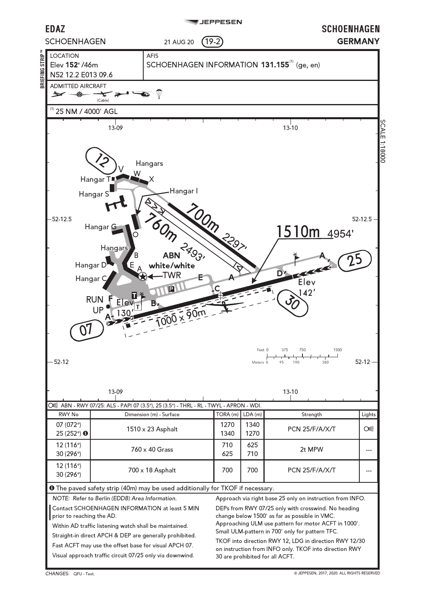

**Visual approach traffic circuit 07/25 only via downwind.**

**30 are prohibited for all ACFT.**

**CHANGES: QFU - Text.**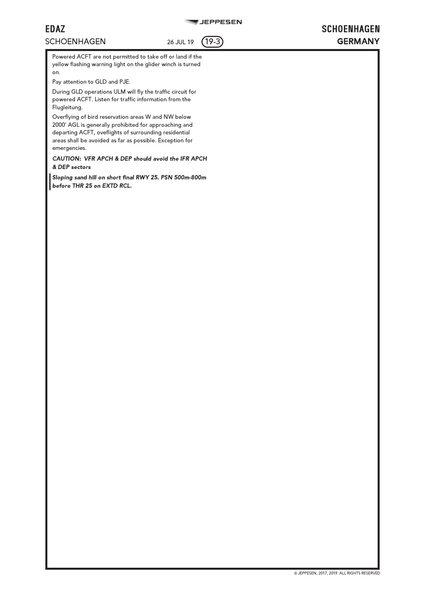## **SCHOENHAGEN 26 JUL 19 19-3 GERMANY**

# **EDAZ SCHOENHAGEN**

**Powered ACFT are not permitted to take off or land if the yellow flashing warning light on the glider winch is turned on.**

**Pay attention to GLD and PJE.**

**During GLD operations ULM will fly the traffic circuit for powered ACFT. Listen for traffic information from the Flugleitung.**

**Overflying of bird reservation areas W and NW below 2000' AGL is generally prohibited for approaching and departing ACFT, oveflights of surrounding residential areas shall be avoided as far as possible. Exception for emergencies.**

### **CAUTION: VFR APCH & DEP should avoid the IFR APCH & DEP sectors**

**Sloping sand hill on short final RWY 25. PSN 500m-800m before THR 25 on EXTD RCL.**